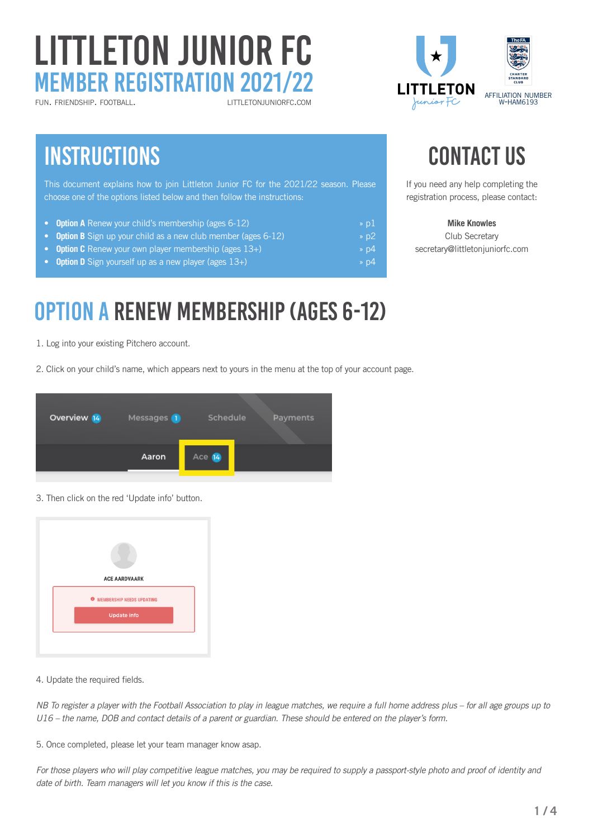# Littleton Junior FC MEMBER REGISTRATION 2021/22

fun. friendship. football. littletonjuniorfc.com

### **INSTRUCTIONS CONTACT US**

This document explains how to join Littleton Junior FC for the 2021/22 season. Please choose one of the options listed below and then follow the instructions:

- **• Option A** Renew your child's membership (ages 6-12) » p1
- **• Option B** Sign up your child as a new club member (ages 6-12) » p2
- **• Option C** Renew your own player membership (ages 13+) » p4
- **• Option D** Sign yourself up as a new player (ages 13+) » p4



If you need any help completing the registration process, please contact:

#### **Mike Knowles**

Club Secretary secretary@littletonjuniorfc.com

### Option A RENEW MEMBERSHIP (AGES 6-12)

- 1. Log into your existing Pitchero account.
- 2. Click on your child's name, which appears next to yours in the menu at the top of your account page.

| Overview 14 | Messages 1 |                   | Schedule<br><b>Payments</b> |  |  |
|-------------|------------|-------------------|-----------------------------|--|--|
|             | Aaron      | Ace <sup>14</sup> |                             |  |  |

3. Then click on the red 'Update info' button.



4. Update the required fields.

*NB To register a player with the Football Association to play in league matches, we require a full home address plus – for all age groups up to U16 – the name, DOB and contact details of a parent or guardian. These should be entered on the player's form.*

5. Once completed, please let your team manager know asap.

For those players who will play competitive league matches, you may be required to supply a passport-style photo and proof of identity and *date of birth. Team managers will let you know if this is the case.*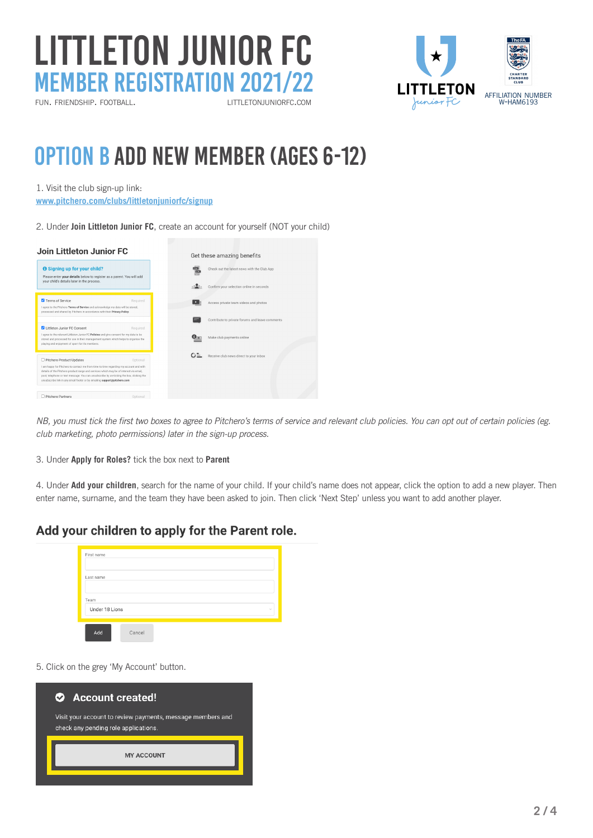### Littleton Junior FC MEMBER REGISTRATION 2021/22 fun. friendship. football. littletonjuniorfc.com



### Option B Add NEW MEMBER (AGES 6-12)

1. Visit the club sign-up link:

**[www.pitchero.com/clubs/littletonjuniorfc/signup](http://www.pitchero.com/clubs/littletonjuniorfc/signup)**

2. Under **Join Littleton Junior FC**, create an account for yourself (NOT your child)

#### Join Littleton, Junier FC

| JOIN LIttleton Junior FC                                                                                                                                                                                                                                                                                                                                                                        |       | Get these amazing benefits                      |
|-------------------------------------------------------------------------------------------------------------------------------------------------------------------------------------------------------------------------------------------------------------------------------------------------------------------------------------------------------------------------------------------------|-------|-------------------------------------------------|
| <b>O</b> Signing up for your child?<br>Please enter your details below to register as a parent. You will add                                                                                                                                                                                                                                                                                    | 悒     | Check out the latest news with the Club App     |
| your child's details later in the process.                                                                                                                                                                                                                                                                                                                                                      |       | Confirm your selection online in seconds        |
| Terms of Service<br>Required<br>I agree to the Pitchero Terms of Service and acknowledge my data will be stored,<br>processed and shared by Pitchero in accordance with their Privacy Policy.                                                                                                                                                                                                   |       | Access private team videos and photos           |
|                                                                                                                                                                                                                                                                                                                                                                                                 |       | Contribute to private forums and leave comments |
| Littleton Junior FC Consent<br>Required<br>I agree to the relevant Littleton Junior FC Policies and give consent for my data to be<br>stored and processed for use in their management system which helps to organise the<br>playing and enjoyment of sport for it's members.                                                                                                                   |       | Make club payments online                       |
| Pitchero Product Updates<br>Optional<br>I am happy for Pitchero to contact me from time to time regarding my account and with<br>details of the Pitchero product range and services which may be of interest via email,<br>post, telephone or text message. You can unsubscribe by un-ticking the box, clicking the<br>unsubscribe link in any email footer or by emailing support@pitchero.com | $O =$ | Receive club news direct to your inbox          |
| Pitchero Partners<br>Optional                                                                                                                                                                                                                                                                                                                                                                   |       |                                                 |

NB, you must tick the first two boxes to agree to Pitchero's terms of service and relevant club policies. You can opt out of certain policies (eg. *club marketing, photo permissions) later in the sign-up process.*

#### 3. Under **Apply for Roles?** tick the box next to **Parent**

4. Under **Add your children**, search for the name of your child. If your child's name does not appear, click the option to add a new player. Then enter name, surname, and the team they have been asked to join. Then click 'Next Step' unless you want to add another player.

### Add your children to apply for the Parent role.

| Last name      |  |        |
|----------------|--|--------|
|                |  |        |
| Team           |  |        |
| Under 18 Lions |  | $\sim$ |
|                |  |        |

5. Click on the grey 'My Account' button.

| 2 Account created!                                                                                 |
|----------------------------------------------------------------------------------------------------|
| Visit your account to review payments, message members and<br>check any pending role applications. |
| <b>MY ACCOUNT</b>                                                                                  |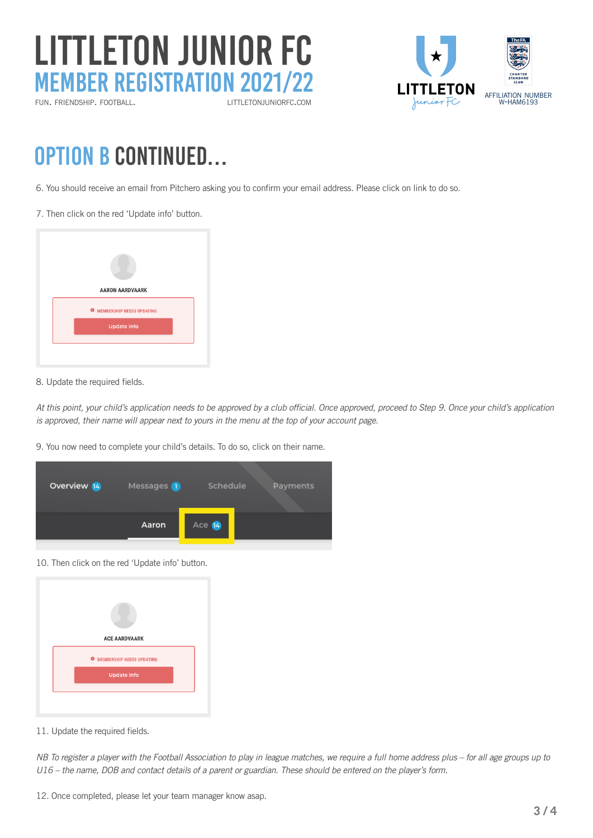

FUN. FRIENDSHIP. FOOTBALL. LITTLETONJUNIORFC.COM



### Option B Continued…

- 6. You should receive an email from Pitchero asking you to confirm your email address. Please click on link to do so.
- 7. Then click on the red 'Update info' button.



#### 8. Update the required fields.

At this point, your child's application needs to be approved by a club official. Once approved, proceed to Step 9. *Once your child's application*  is approved, their name will appear next to yours in the menu at the top of your account page.

9. You now need to complete your child's details. To do so, click on their name.

| Overview 14 | Messages <sup>1</sup> | Schedule          |  | Payments |
|-------------|-----------------------|-------------------|--|----------|
|             | Aaron                 | Ace <sup>14</sup> |  |          |

10. Then click on the red 'Update info' button.



11. Update the required fields.

*NB To register a player with the Football Association to play in league matches, we require a full home address plus – for all age groups up to U16 – the name, DOB and contact details of a parent or guardian. These should be entered on the player's form.*

<sup>12.</sup> Once completed, please let your team manager know asap.